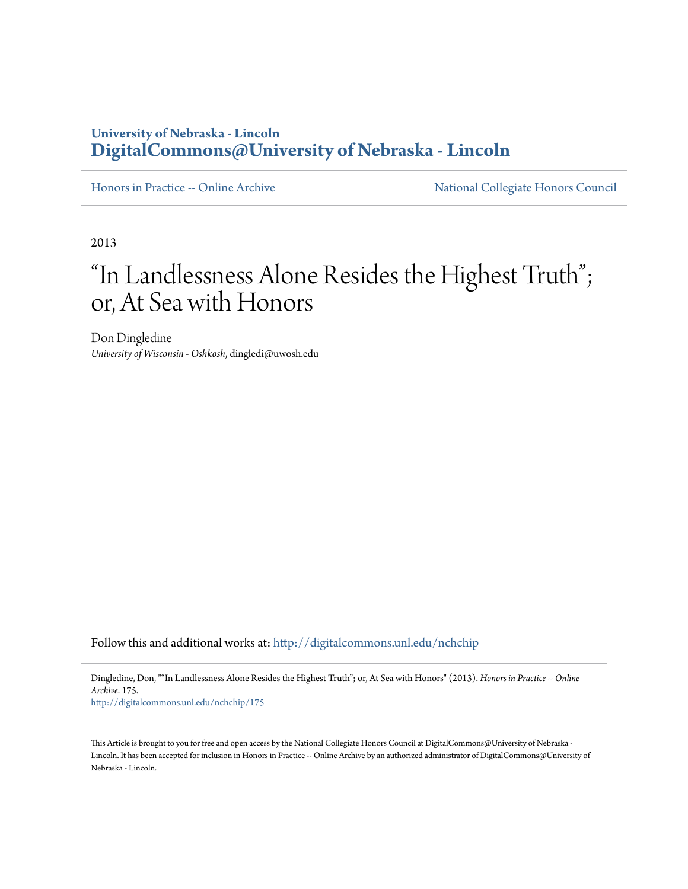## **University of Nebraska - Lincoln [DigitalCommons@University of Nebraska - Lincoln](http://digitalcommons.unl.edu?utm_source=digitalcommons.unl.edu%2Fnchchip%2F175&utm_medium=PDF&utm_campaign=PDFCoverPages)**

[Honors in Practice -- Online Archive](http://digitalcommons.unl.edu/nchchip?utm_source=digitalcommons.unl.edu%2Fnchchip%2F175&utm_medium=PDF&utm_campaign=PDFCoverPages) [National Collegiate Honors Council](http://digitalcommons.unl.edu/natlcollhonors?utm_source=digitalcommons.unl.edu%2Fnchchip%2F175&utm_medium=PDF&utm_campaign=PDFCoverPages)

2013

## "In Landlessness Alone Resides the Highest Truth"; or, At Sea with Honors

Don Dingledine *University of Wisconsin - Oshkosh*, dingledi@uwosh.edu

Follow this and additional works at: [http://digitalcommons.unl.edu/nchchip](http://digitalcommons.unl.edu/nchchip?utm_source=digitalcommons.unl.edu%2Fnchchip%2F175&utm_medium=PDF&utm_campaign=PDFCoverPages)

Dingledine, Don, ""In Landlessness Alone Resides the Highest Truth"; or, At Sea with Honors" (2013). *Honors in Practice -- Online Archive*. 175.

[http://digitalcommons.unl.edu/nchchip/175](http://digitalcommons.unl.edu/nchchip/175?utm_source=digitalcommons.unl.edu%2Fnchchip%2F175&utm_medium=PDF&utm_campaign=PDFCoverPages)

This Article is brought to you for free and open access by the National Collegiate Honors Council at DigitalCommons@University of Nebraska - Lincoln. It has been accepted for inclusion in Honors in Practice -- Online Archive by an authorized administrator of DigitalCommons@University of Nebraska - Lincoln.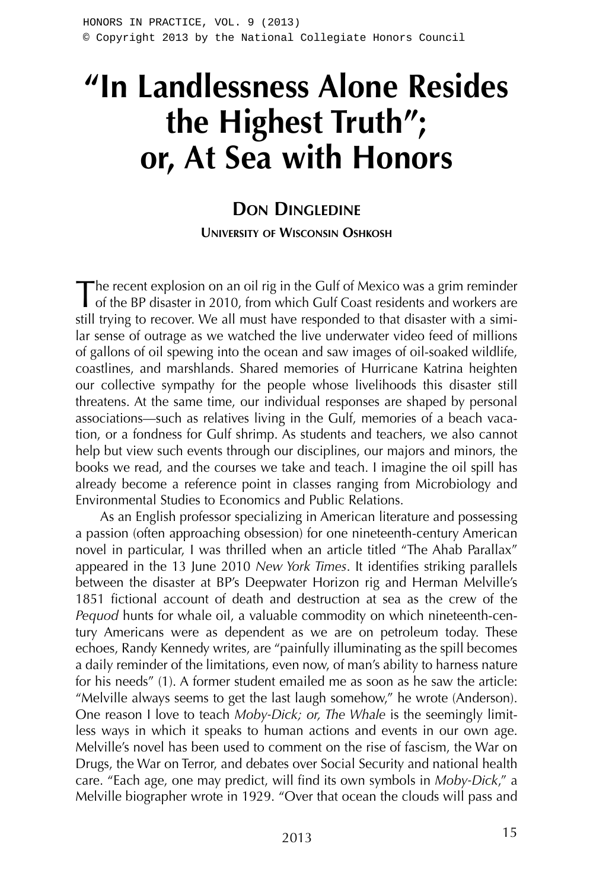# **"In Landlessness Alone Resides the Highest Truth"; or, At Sea with Honors**

### **DON DINGLEDINE UNIVERSITY OF WISCONSIN OSHKOSH**

The recent explosion on an oil rig in the Gulf of Mexico was a grim reminder<br>of the BP disaster in 2010, from which Gulf Coast residents and workers are still trying to recover. We all must have responded to that disaster with a similar sense of outrage as we watched the live underwater video feed of millions of gallons of oil spewing into the ocean and saw images of oil-soaked wildlife, coastlines, and marshlands. Shared memories of Hurricane Katrina heighten our collective sympathy for the people whose livelihoods this disaster still threatens. At the same time, our individual responses are shaped by personal associations—such as relatives living in the Gulf, memories of a beach vacation, or a fondness for Gulf shrimp. As students and teachers, we also cannot help but view such events through our disciplines, our majors and minors, the books we read, and the courses we take and teach. I imagine the oil spill has already become a reference point in classes ranging from Microbiology and Environmental Studies to Economics and Public Relations.

As an English professor specializing in American literature and possessing a passion (often approaching obsession) for one nineteenth-century American novel in particular, I was thrilled when an article titled "The Ahab Parallax" appeared in the 13 June 2010 *New York Times*. It identifies striking parallels between the disaster at BP's Deepwater Horizon rig and Herman Melville's 1851 fictional account of death and destruction at sea as the crew of the *Pequod* hunts for whale oil, a valuable commodity on which nineteenth-century Americans were as dependent as we are on petroleum today. These echoes, Randy Kennedy writes, are "painfully illuminating as the spill becomes a daily reminder of the limitations, even now, of man's ability to harness nature for his needs" (1). A former student emailed me as soon as he saw the article: "Melville always seems to get the last laugh somehow," he wrote (Anderson). One reason I love to teach *Moby-Dick; or, The Whale* is the seemingly limitless ways in which it speaks to human actions and events in our own age. Melville's novel has been used to comment on the rise of fascism, the War on Drugs, the War on Terror, and debates over Social Security and national health care. "Each age, one may predict, will find its own symbols in *Moby-Dick*," a Melville biographer wrote in 1929. "Over that ocean the clouds will pass and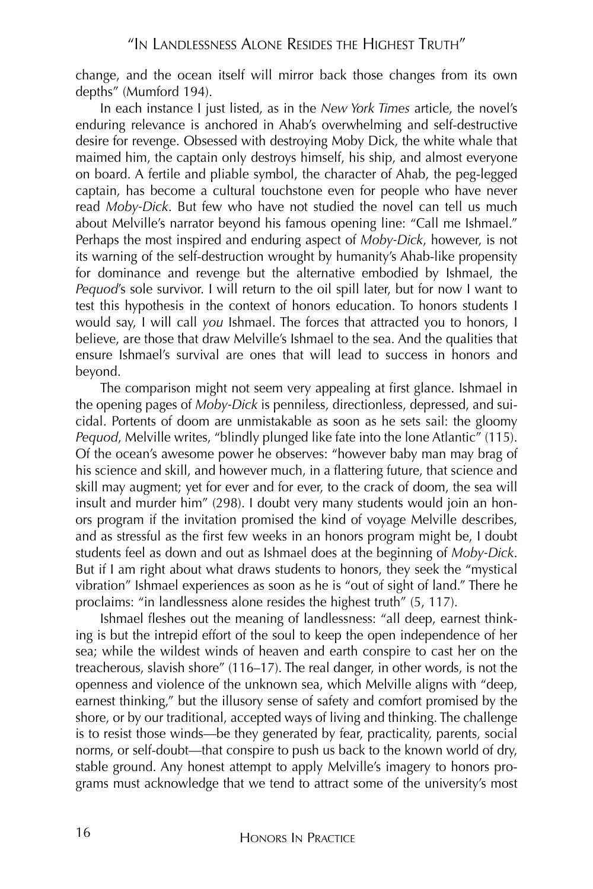change, and the ocean itself will mirror back those changes from its own depths" (Mumford 194).

In each instance I just listed, as in the *New York Times* article, the novel's enduring relevance is anchored in Ahab's overwhelming and self-destructive desire for revenge. Obsessed with destroying Moby Dick, the white whale that maimed him, the captain only destroys himself, his ship, and almost everyone on board. A fertile and pliable symbol, the character of Ahab, the peg-legged captain, has become a cultural touchstone even for people who have never read *Moby-Dick*. But few who have not studied the novel can tell us much about Melville's narrator beyond his famous opening line: "Call me Ishmael." Perhaps the most inspired and enduring aspect of *Moby-Dick*, however, is not its warning of the self-destruction wrought by humanity's Ahab-like propensity for dominance and revenge but the alternative embodied by Ishmael, the *Pequod*'s sole survivor. I will return to the oil spill later, but for now I want to test this hypothesis in the context of honors education. To honors students I would say, I will call *you* Ishmael. The forces that attracted you to honors, I believe, are those that draw Melville's Ishmael to the sea. And the qualities that ensure Ishmael's survival are ones that will lead to success in honors and beyond.

The comparison might not seem very appealing at first glance. Ishmael in the opening pages of *Moby-Dick* is penniless, directionless, depressed, and suicidal. Portents of doom are unmistakable as soon as he sets sail: the gloomy *Pequod*, Melville writes, "blindly plunged like fate into the lone Atlantic" (115). Of the ocean's awesome power he observes: "however baby man may brag of his science and skill, and however much, in a flattering future, that science and skill may augment; yet for ever and for ever, to the crack of doom, the sea will insult and murder him" (298). I doubt very many students would join an honors program if the invitation promised the kind of voyage Melville describes, and as stressful as the first few weeks in an honors program might be, I doubt students feel as down and out as Ishmael does at the beginning of *Moby-Dick*. But if I am right about what draws students to honors, they seek the "mystical vibration" Ishmael experiences as soon as he is "out of sight of land." There he proclaims: "in landlessness alone resides the highest truth" (5, 117).

Ishmael fleshes out the meaning of landlessness: "all deep, earnest thinking is but the intrepid effort of the soul to keep the open independence of her sea; while the wildest winds of heaven and earth conspire to cast her on the treacherous, slavish shore" (116–17). The real danger, in other words, is not the openness and violence of the unknown sea, which Melville aligns with "deep, earnest thinking," but the illusory sense of safety and comfort promised by the shore, or by our traditional, accepted ways of living and thinking. The challenge is to resist those winds—be they generated by fear, practicality, parents, social norms, or self-doubt—that conspire to push us back to the known world of dry, stable ground. Any honest attempt to apply Melville's imagery to honors programs must acknowledge that we tend to attract some of the university's most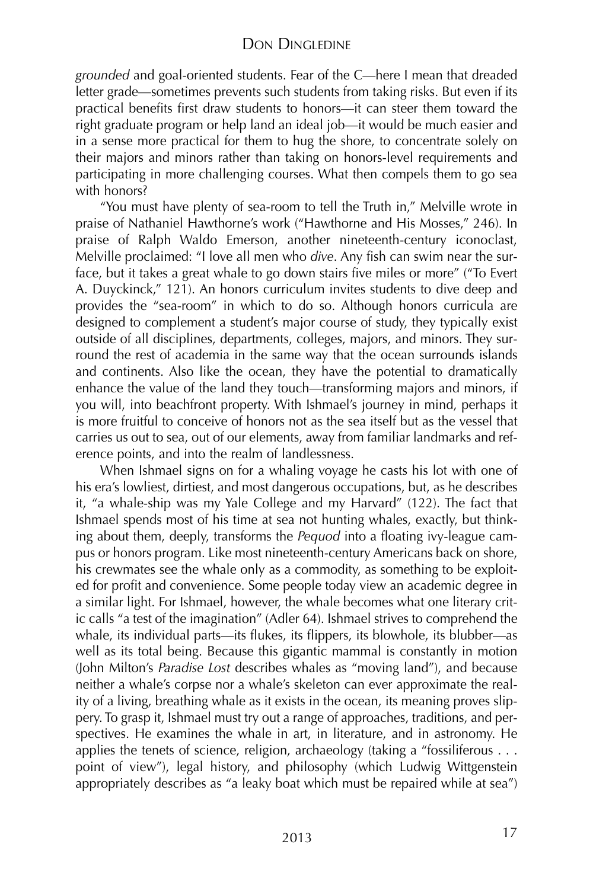*grounded* and goal-oriented students. Fear of the C—here I mean that dreaded letter grade—sometimes prevents such students from taking risks. But even if its practical benefits first draw students to honors—it can steer them toward the right graduate program or help land an ideal job—it would be much easier and in a sense more practical for them to hug the shore, to concentrate solely on their majors and minors rather than taking on honors-level requirements and participating in more challenging courses. What then compels them to go sea with honors?

"You must have plenty of sea-room to tell the Truth in," Melville wrote in praise of Nathaniel Hawthorne's work ("Hawthorne and His Mosses," 246). In praise of Ralph Waldo Emerson, another nineteenth-century iconoclast, Melville proclaimed: "I love all men who *dive*. Any fish can swim near the surface, but it takes a great whale to go down stairs five miles or more" ("To Evert A. Duyckinck," 121). An honors curriculum invites students to dive deep and provides the "sea-room" in which to do so. Although honors curricula are designed to complement a student's major course of study, they typically exist outside of all disciplines, departments, colleges, majors, and minors. They surround the rest of academia in the same way that the ocean surrounds islands and continents. Also like the ocean, they have the potential to dramatically enhance the value of the land they touch—transforming majors and minors, if you will, into beachfront property. With Ishmael's journey in mind, perhaps it is more fruitful to conceive of honors not as the sea itself but as the vessel that carries us out to sea, out of our elements, away from familiar landmarks and reference points, and into the realm of landlessness.

When Ishmael signs on for a whaling voyage he casts his lot with one of his era's lowliest, dirtiest, and most dangerous occupations, but, as he describes it, "a whale-ship was my Yale College and my Harvard" (122). The fact that Ishmael spends most of his time at sea not hunting whales, exactly, but thinking about them, deeply, transforms the *Pequod* into a floating ivy-league campus or honors program. Like most nineteenth-century Americans back on shore, his crewmates see the whale only as a commodity, as something to be exploited for profit and convenience. Some people today view an academic degree in a similar light. For Ishmael, however, the whale becomes what one literary critic calls "a test of the imagination" (Adler 64). Ishmael strives to comprehend the whale, its individual parts—its flukes, its flippers, its blowhole, its blubber—as well as its total being. Because this gigantic mammal is constantly in motion (John Milton's *Paradise Lost* describes whales as "moving land"), and because neither a whale's corpse nor a whale's skeleton can ever approximate the reality of a living, breathing whale as it exists in the ocean, its meaning proves slippery. To grasp it, Ishmael must try out a range of approaches, traditions, and perspectives. He examines the whale in art, in literature, and in astronomy. He applies the tenets of science, religion, archaeology (taking a "fossiliferous . . . point of view"), legal history, and philosophy (which Ludwig Wittgenstein appropriately describes as "a leaky boat which must be repaired while at sea")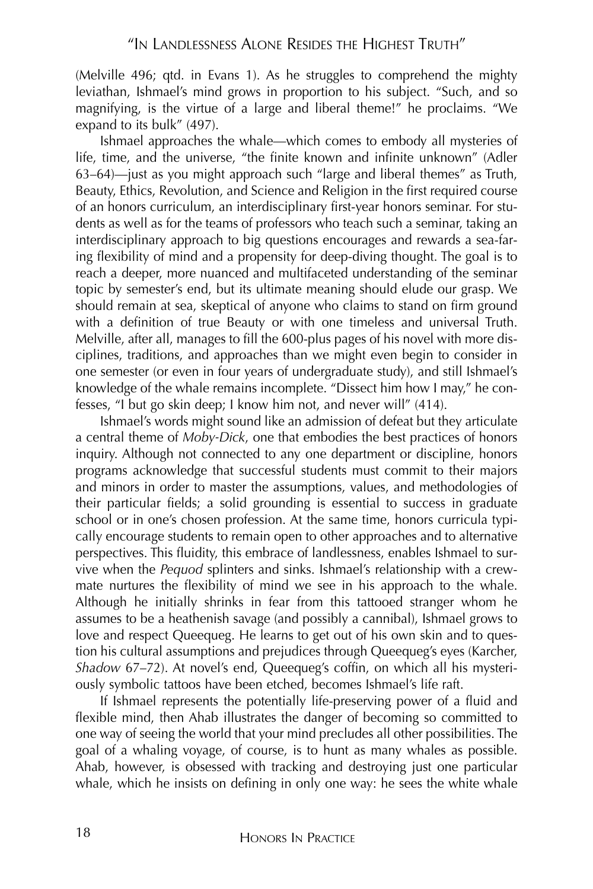(Melville 496; qtd. in Evans 1). As he struggles to comprehend the mighty leviathan, Ishmael's mind grows in proportion to his subject. "Such, and so magnifying, is the virtue of a large and liberal theme!" he proclaims. "We expand to its bulk" (497).

Ishmael approaches the whale—which comes to embody all mysteries of life, time, and the universe, "the finite known and infinite unknown" (Adler 63–64)—just as you might approach such "large and liberal themes" as Truth, Beauty, Ethics, Revolution, and Science and Religion in the first required course of an honors curriculum, an interdisciplinary first-year honors seminar. For students as well as for the teams of professors who teach such a seminar, taking an interdisciplinary approach to big questions encourages and rewards a sea-faring flexibility of mind and a propensity for deep-diving thought. The goal is to reach a deeper, more nuanced and multifaceted understanding of the seminar topic by semester's end, but its ultimate meaning should elude our grasp. We should remain at sea, skeptical of anyone who claims to stand on firm ground with a definition of true Beauty or with one timeless and universal Truth. Melville, after all, manages to fill the 600-plus pages of his novel with more disciplines, traditions, and approaches than we might even begin to consider in one semester (or even in four years of undergraduate study), and still Ishmael's knowledge of the whale remains incomplete. "Dissect him how I may," he confesses, "I but go skin deep; I know him not, and never will" (414).

Ishmael's words might sound like an admission of defeat but they articulate a central theme of *Moby-Dick*, one that embodies the best practices of honors inquiry. Although not connected to any one department or discipline, honors programs acknowledge that successful students must commit to their majors and minors in order to master the assumptions, values, and methodologies of their particular fields; a solid grounding is essential to success in graduate school or in one's chosen profession. At the same time, honors curricula typically encourage students to remain open to other approaches and to alternative perspectives. This fluidity, this embrace of landlessness, enables Ishmael to survive when the *Pequod* splinters and sinks. Ishmael's relationship with a crewmate nurtures the flexibility of mind we see in his approach to the whale. Although he initially shrinks in fear from this tattooed stranger whom he assumes to be a heathenish savage (and possibly a cannibal), Ishmael grows to love and respect Queequeg. He learns to get out of his own skin and to question his cultural assumptions and prejudices through Queequeg's eyes (Karcher, *Shadow* 67–72). At novel's end, Queequeg's coffin, on which all his mysteriously symbolic tattoos have been etched, becomes Ishmael's life raft.

If Ishmael represents the potentially life-preserving power of a fluid and flexible mind, then Ahab illustrates the danger of becoming so committed to one way of seeing the world that your mind precludes all other possibilities. The goal of a whaling voyage, of course, is to hunt as many whales as possible. Ahab, however, is obsessed with tracking and destroying just one particular whale, which he insists on defining in only one way: he sees the white whale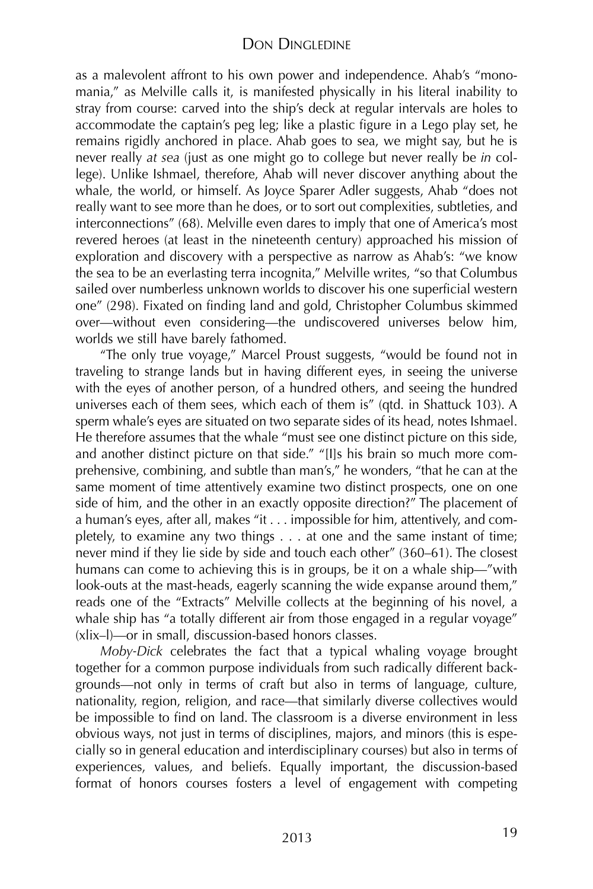as a malevolent affront to his own power and independence. Ahab's "monomania," as Melville calls it, is manifested physically in his literal inability to stray from course: carved into the ship's deck at regular intervals are holes to accommodate the captain's peg leg; like a plastic figure in a Lego play set, he remains rigidly anchored in place. Ahab goes to sea, we might say, but he is never really *at sea* (just as one might go to college but never really be *in* college). Unlike Ishmael, therefore, Ahab will never discover anything about the whale, the world, or himself. As Joyce Sparer Adler suggests, Ahab "does not really want to see more than he does, or to sort out complexities, subtleties, and interconnections" (68). Melville even dares to imply that one of America's most revered heroes (at least in the nineteenth century) approached his mission of exploration and discovery with a perspective as narrow as Ahab's: "we know the sea to be an everlasting terra incognita," Melville writes, "so that Columbus sailed over numberless unknown worlds to discover his one superficial western one" (298). Fixated on finding land and gold, Christopher Columbus skimmed over—without even considering—the undiscovered universes below him, worlds we still have barely fathomed.

"The only true voyage," Marcel Proust suggests, "would be found not in traveling to strange lands but in having different eyes, in seeing the universe with the eyes of another person, of a hundred others, and seeing the hundred universes each of them sees, which each of them is" (qtd. in Shattuck 103). A sperm whale's eyes are situated on two separate sides of its head, notes Ishmael. He therefore assumes that the whale "must see one distinct picture on this side, and another distinct picture on that side." "[I]s his brain so much more comprehensive, combining, and subtle than man's," he wonders, "that he can at the same moment of time attentively examine two distinct prospects, one on one side of him, and the other in an exactly opposite direction?" The placement of a human's eyes, after all, makes "it . . . impossible for him, attentively, and completely, to examine any two things . . . at one and the same instant of time; never mind if they lie side by side and touch each other" (360–61). The closest humans can come to achieving this is in groups, be it on a whale ship—"with look-outs at the mast-heads, eagerly scanning the wide expanse around them," reads one of the "Extracts" Melville collects at the beginning of his novel, a whale ship has "a totally different air from those engaged in a regular voyage" (xlix–l)—or in small, discussion-based honors classes.

*Moby-Dick* celebrates the fact that a typical whaling voyage brought together for a common purpose individuals from such radically different backgrounds—not only in terms of craft but also in terms of language, culture, nationality, region, religion, and race—that similarly diverse collectives would be impossible to find on land. The classroom is a diverse environment in less obvious ways, not just in terms of disciplines, majors, and minors (this is especially so in general education and interdisciplinary courses) but also in terms of experiences, values, and beliefs. Equally important, the discussion-based format of honors courses fosters a level of engagement with competing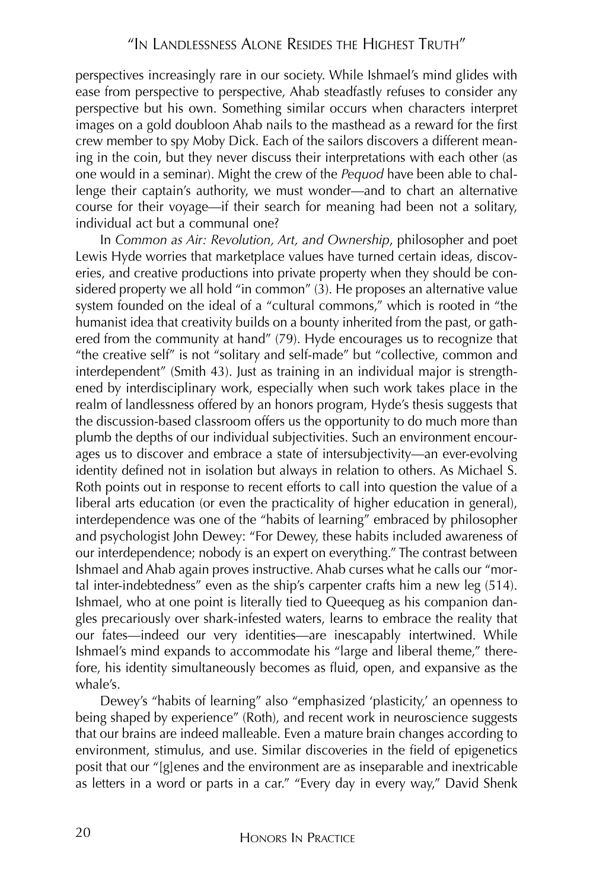perspectives increasingly rare in our society. While Ishmael's mind glides with ease from perspective to perspective, Ahab steadfastly refuses to consider any perspective but his own. Something similar occurs when characters interpret images on a gold doubloon Ahab nails to the masthead as a reward for the first crew member to spy Moby Dick. Each of the sailors discovers a different meaning in the coin, but they never discuss their interpretations with each other (as one would in a seminar). Might the crew of the *Pequod* have been able to challenge their captain's authority, we must wonder—and to chart an alternative course for their voyage—if their search for meaning had been not a solitary, individual act but a communal one?

In *Common as Air: Revolution, Art, and Ownership*, philosopher and poet Lewis Hyde worries that marketplace values have turned certain ideas, discoveries, and creative productions into private property when they should be considered property we all hold "in common" (3). He proposes an alternative value system founded on the ideal of a "cultural commons," which is rooted in "the humanist idea that creativity builds on a bounty inherited from the past, or gathered from the community at hand" (79). Hyde encourages us to recognize that "the creative self" is not "solitary and self-made" but "collective, common and interdependent" (Smith 43). Just as training in an individual major is strengthened by interdisciplinary work, especially when such work takes place in the realm of landlessness offered by an honors program, Hyde's thesis suggests that the discussion-based classroom offers us the opportunity to do much more than plumb the depths of our individual subjectivities. Such an environment encourages us to discover and embrace a state of intersubjectivity—an ever-evolving identity defined not in isolation but always in relation to others. As Michael S. Roth points out in response to recent efforts to call into question the value of a liberal arts education (or even the practicality of higher education in general), interdependence was one of the "habits of learning" embraced by philosopher and psychologist John Dewey: "For Dewey, these habits included awareness of our interdependence; nobody is an expert on everything." The contrast between Ishmael and Ahab again proves instructive. Ahab curses what he calls our "mortal inter-indebtedness" even as the ship's carpenter crafts him a new leg (514). Ishmael, who at one point is literally tied to Queequeg as his companion dangles precariously over shark-infested waters, learns to embrace the reality that our fates—indeed our very identities—are inescapably intertwined. While Ishmael's mind expands to accommodate his "large and liberal theme," therefore, his identity simultaneously becomes as fluid, open, and expansive as the whale's.

Dewey's "habits of learning" also "emphasized 'plasticity,' an openness to being shaped by experience" (Roth), and recent work in neuroscience suggests that our brains are indeed malleable. Even a mature brain changes according to environment, stimulus, and use. Similar discoveries in the field of epigenetics posit that our "[g]enes and the environment are as inseparable and inextricable as letters in a word or parts in a car." "Every day in every way," David Shenk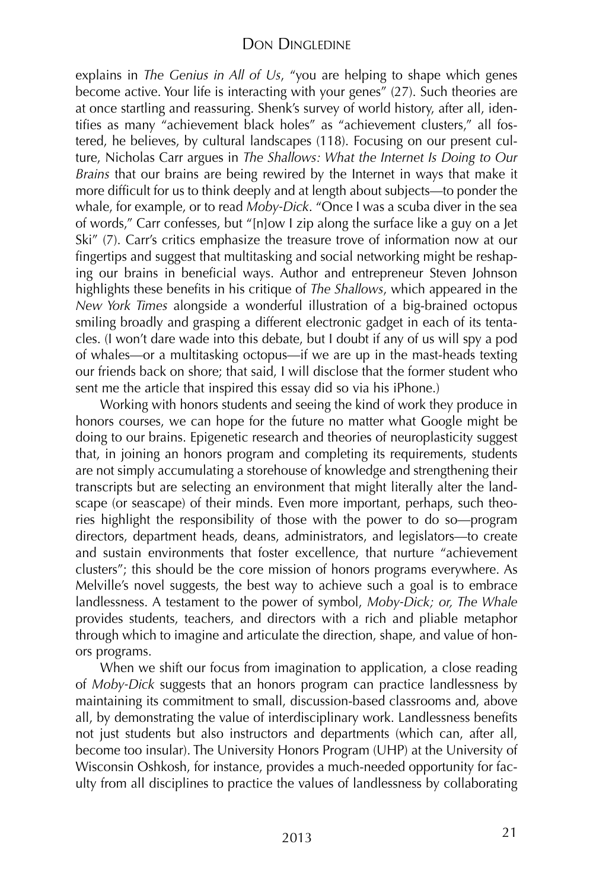#### DON DINGLEDINE

explains in *The Genius in All of Us*, "you are helping to shape which genes become active. Your life is interacting with your genes" (27). Such theories are at once startling and reassuring. Shenk's survey of world history, after all, identifies as many "achievement black holes" as "achievement clusters," all fostered, he believes, by cultural landscapes (118). Focusing on our present culture, Nicholas Carr argues in *The Shallows: What the Internet Is Doing to Our Brains* that our brains are being rewired by the Internet in ways that make it more difficult for us to think deeply and at length about subjects—to ponder the whale, for example, or to read *Moby-Dick*. "Once I was a scuba diver in the sea of words," Carr confesses, but "[n]ow I zip along the surface like a guy on a Jet Ski" (7). Carr's critics emphasize the treasure trove of information now at our fingertips and suggest that multitasking and social networking might be reshaping our brains in beneficial ways. Author and entrepreneur Steven Johnson highlights these benefits in his critique of *The Shallows*, which appeared in the *New York Times* alongside a wonderful illustration of a big-brained octopus smiling broadly and grasping a different electronic gadget in each of its tentacles. (I won't dare wade into this debate, but I doubt if any of us will spy a pod of whales—or a multitasking octopus—if we are up in the mast-heads texting our friends back on shore; that said, I will disclose that the former student who sent me the article that inspired this essay did so via his iPhone.)

Working with honors students and seeing the kind of work they produce in honors courses, we can hope for the future no matter what Google might be doing to our brains. Epigenetic research and theories of neuroplasticity suggest that, in joining an honors program and completing its requirements, students are not simply accumulating a storehouse of knowledge and strengthening their transcripts but are selecting an environment that might literally alter the landscape (or seascape) of their minds. Even more important, perhaps, such theories highlight the responsibility of those with the power to do so—program directors, department heads, deans, administrators, and legislators—to create and sustain environments that foster excellence, that nurture "achievement clusters"; this should be the core mission of honors programs everywhere. As Melville's novel suggests, the best way to achieve such a goal is to embrace landlessness. A testament to the power of symbol, *Moby-Dick; or, The Whale* provides students, teachers, and directors with a rich and pliable metaphor through which to imagine and articulate the direction, shape, and value of honors programs.

When we shift our focus from imagination to application, a close reading of *Moby-Dick* suggests that an honors program can practice landlessness by maintaining its commitment to small, discussion-based classrooms and, above all, by demonstrating the value of interdisciplinary work. Landlessness benefits not just students but also instructors and departments (which can, after all, become too insular). The University Honors Program (UHP) at the University of Wisconsin Oshkosh, for instance, provides a much-needed opportunity for faculty from all disciplines to practice the values of landlessness by collaborating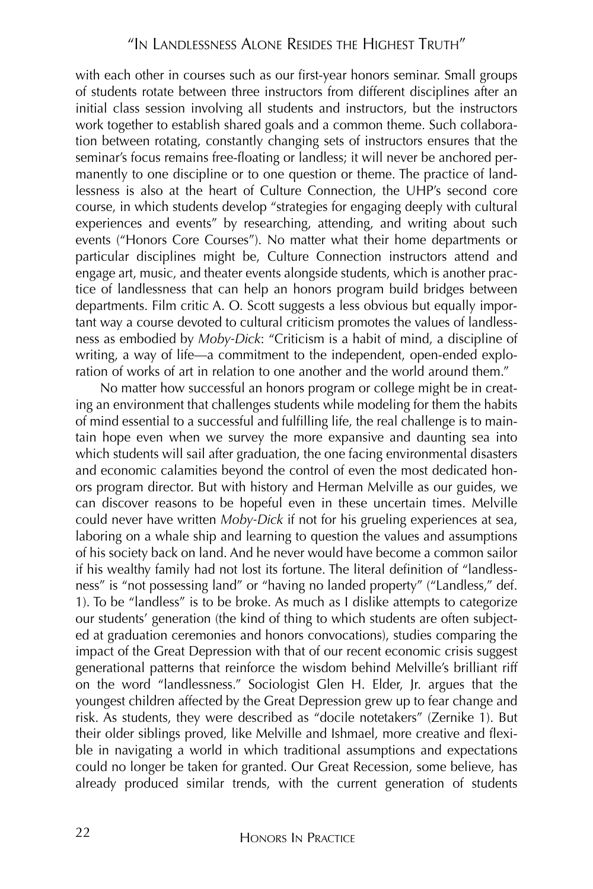with each other in courses such as our first-year honors seminar. Small groups of students rotate between three instructors from different disciplines after an initial class session involving all students and instructors, but the instructors work together to establish shared goals and a common theme. Such collaboration between rotating, constantly changing sets of instructors ensures that the seminar's focus remains free-floating or landless; it will never be anchored permanently to one discipline or to one question or theme. The practice of landlessness is also at the heart of Culture Connection, the UHP's second core course, in which students develop "strategies for engaging deeply with cultural experiences and events" by researching, attending, and writing about such events ("Honors Core Courses"). No matter what their home departments or particular disciplines might be, Culture Connection instructors attend and engage art, music, and theater events alongside students, which is another practice of landlessness that can help an honors program build bridges between departments. Film critic A. O. Scott suggests a less obvious but equally important way a course devoted to cultural criticism promotes the values of landlessness as embodied by *Moby-Dick*: "Criticism is a habit of mind, a discipline of writing, a way of life—a commitment to the independent, open-ended exploration of works of art in relation to one another and the world around them."

No matter how successful an honors program or college might be in creating an environment that challenges students while modeling for them the habits of mind essential to a successful and fulfilling life, the real challenge is to maintain hope even when we survey the more expansive and daunting sea into which students will sail after graduation, the one facing environmental disasters and economic calamities beyond the control of even the most dedicated honors program director. But with history and Herman Melville as our guides, we can discover reasons to be hopeful even in these uncertain times. Melville could never have written *Moby-Dick* if not for his grueling experiences at sea, laboring on a whale ship and learning to question the values and assumptions of his society back on land. And he never would have become a common sailor if his wealthy family had not lost its fortune. The literal definition of "landlessness" is "not possessing land" or "having no landed property" ("Landless," def. 1). To be "landless" is to be broke. As much as I dislike attempts to categorize our students' generation (the kind of thing to which students are often subjected at graduation ceremonies and honors convocations), studies comparing the impact of the Great Depression with that of our recent economic crisis suggest generational patterns that reinforce the wisdom behind Melville's brilliant riff on the word "landlessness." Sociologist Glen H. Elder, Jr. argues that the youngest children affected by the Great Depression grew up to fear change and risk. As students, they were described as "docile notetakers" (Zernike 1). But their older siblings proved, like Melville and Ishmael, more creative and flexible in navigating a world in which traditional assumptions and expectations could no longer be taken for granted. Our Great Recession, some believe, has already produced similar trends, with the current generation of students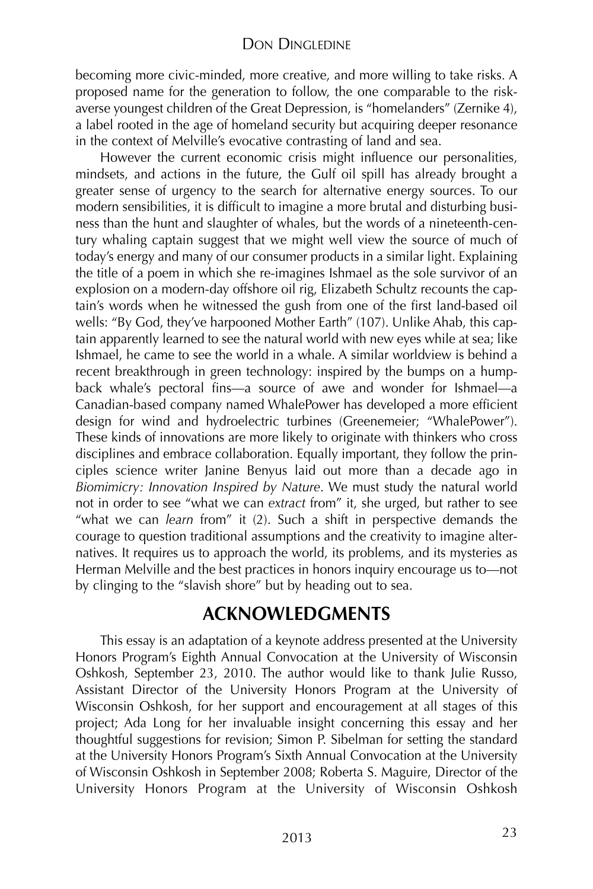#### DON DINGLEDINE

becoming more civic-minded, more creative, and more willing to take risks. A proposed name for the generation to follow, the one comparable to the riskaverse youngest children of the Great Depression, is "homelanders" (Zernike 4), a label rooted in the age of homeland security but acquiring deeper resonance in the context of Melville's evocative contrasting of land and sea.

However the current economic crisis might influence our personalities, mindsets, and actions in the future, the Gulf oil spill has already brought a greater sense of urgency to the search for alternative energy sources. To our modern sensibilities, it is difficult to imagine a more brutal and disturbing business than the hunt and slaughter of whales, but the words of a nineteenth-century whaling captain suggest that we might well view the source of much of today's energy and many of our consumer products in a similar light. Explaining the title of a poem in which she re-imagines Ishmael as the sole survivor of an explosion on a modern-day offshore oil rig, Elizabeth Schultz recounts the captain's words when he witnessed the gush from one of the first land-based oil wells: "By God, they've harpooned Mother Earth" (107). Unlike Ahab, this captain apparently learned to see the natural world with new eyes while at sea; like Ishmael, he came to see the world in a whale. A similar worldview is behind a recent breakthrough in green technology: inspired by the bumps on a humpback whale's pectoral fins—a source of awe and wonder for Ishmael—a Canadian-based company named WhalePower has developed a more efficient design for wind and hydroelectric turbines (Greenemeier; "WhalePower"). These kinds of innovations are more likely to originate with thinkers who cross disciplines and embrace collaboration. Equally important, they follow the principles science writer Janine Benyus laid out more than a decade ago in *Biomimicry: Innovation Inspired by Nature*. We must study the natural world not in order to see "what we can *extract* from" it, she urged, but rather to see "what we can *learn* from" it (2). Such a shift in perspective demands the courage to question traditional assumptions and the creativity to imagine alternatives. It requires us to approach the world, its problems, and its mysteries as Herman Melville and the best practices in honors inquiry encourage us to—not by clinging to the "slavish shore" but by heading out to sea.

## **ACKNOWLEDGMENTS**

This essay is an adaptation of a keynote address presented at the University Honors Program's Eighth Annual Convocation at the University of Wisconsin Oshkosh, September 23, 2010. The author would like to thank Julie Russo, Assistant Director of the University Honors Program at the University of Wisconsin Oshkosh, for her support and encouragement at all stages of this project; Ada Long for her invaluable insight concerning this essay and her thoughtful suggestions for revision; Simon P. Sibelman for setting the standard at the University Honors Program's Sixth Annual Convocation at the University of Wisconsin Oshkosh in September 2008; Roberta S. Maguire, Director of the University Honors Program at the University of Wisconsin Oshkosh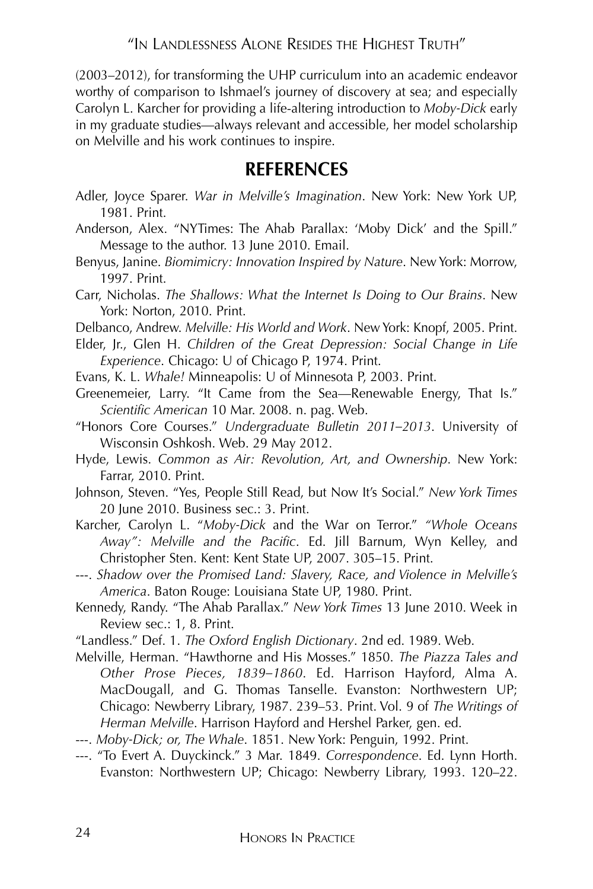"IN LANDLESSNESS ALONE RESIDES THE HIGHEST TRUTH"

(2003–2012), for transforming the UHP curriculum into an academic endeavor worthy of comparison to Ishmael's journey of discovery at sea; and especially Carolyn L. Karcher for providing a life-altering introduction to *Moby-Dick* early in my graduate studies—always relevant and accessible, her model scholarship on Melville and his work continues to inspire.

## **REFERENCES**

- Adler, Joyce Sparer. *War in Melville's Imagination*. New York: New York UP, 1981. Print.
- Anderson, Alex. "NYTimes: The Ahab Parallax: 'Moby Dick' and the Spill." Message to the author. 13 June 2010. Email.
- Benyus, Janine. *Biomimicry: Innovation Inspired by Nature*. New York: Morrow, 1997. Print.
- Carr, Nicholas. *The Shallows: What the Internet Is Doing to Our Brains*. New York: Norton, 2010. Print.
- Delbanco, Andrew. *Melville: His World and Work*. New York: Knopf, 2005. Print.
- Elder, Jr., Glen H. *Children of the Great Depression: Social Change in Life Experience*. Chicago: U of Chicago P, 1974. Print.
- Evans, K. L. *Whale!* Minneapolis: U of Minnesota P, 2003. Print.
- Greenemeier, Larry. "It Came from the Sea—Renewable Energy, That Is." *Scientific American* 10 Mar. 2008. n. pag. Web.
- "Honors Core Courses." *Undergraduate Bulletin 2011–2013*. University of Wisconsin Oshkosh. Web. 29 May 2012.
- Hyde, Lewis. *Common as Air: Revolution, Art, and Ownership*. New York: Farrar, 2010. Print.
- Johnson, Steven. "Yes, People Still Read, but Now It's Social." *New York Times* 20 June 2010. Business sec.: 3. Print.
- Karcher, Carolyn L. "*Moby-Dick* and the War on Terror." *"Whole Oceans Away": Melville and the Pacific*. Ed. Jill Barnum, Wyn Kelley, and Christopher Sten. Kent: Kent State UP, 2007. 305–15. Print.
- ---. *Shadow over the Promised Land: Slavery, Race, and Violence in Melville's America*. Baton Rouge: Louisiana State UP, 1980. Print.
- Kennedy, Randy. "The Ahab Parallax." *New York Times* 13 June 2010. Week in Review sec.: 1, 8. Print.
- "Landless." Def. 1. *The Oxford English Dictionary*. 2nd ed. 1989. Web.
- Melville, Herman. "Hawthorne and His Mosses." 1850. *The Piazza Tales and Other Prose Pieces, 1839–1860*. Ed. Harrison Hayford, Alma A. MacDougall, and G. Thomas Tanselle. Evanston: Northwestern UP; Chicago: Newberry Library, 1987. 239–53. Print. Vol. 9 of *The Writings of Herman Melville*. Harrison Hayford and Hershel Parker, gen. ed.
- ---. *Moby-Dick; or, The Whale*. 1851. New York: Penguin, 1992. Print.
- ---. "To Evert A. Duyckinck." 3 Mar. 1849. *Correspondence*. Ed. Lynn Horth. Evanston: Northwestern UP; Chicago: Newberry Library, 1993. 120–22.